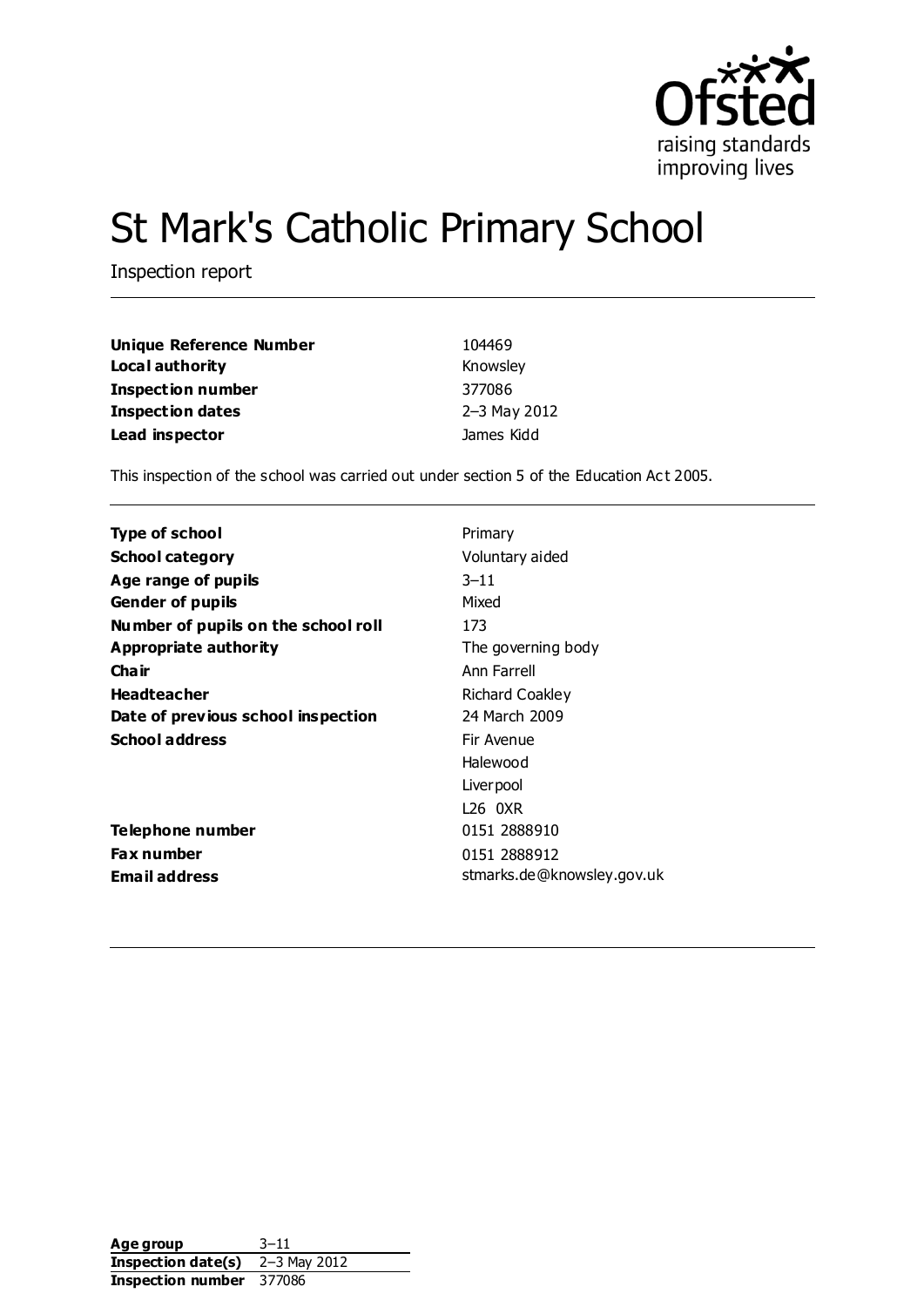

# St Mark's Catholic Primary School

Inspection report

| <b>Unique Reference Number</b> | 104469       |
|--------------------------------|--------------|
| Local authority                | Knowsley     |
| <b>Inspection number</b>       | 377086       |
| <b>Inspection dates</b>        | 2-3 May 2012 |
| Lead inspector                 | James Kidd   |

This inspection of the school was carried out under section 5 of the Education Act 2005.

| Type of school                      | Primary                    |
|-------------------------------------|----------------------------|
| <b>School category</b>              | Voluntary aided            |
| Age range of pupils                 | $3 - 11$                   |
| <b>Gender of pupils</b>             | Mixed                      |
| Number of pupils on the school roll | 173                        |
| Appropriate authority               | The governing body         |
| Cha ir                              | Ann Farrell                |
| <b>Headteacher</b>                  | Richard Coakley            |
| Date of previous school inspection  | 24 March 2009              |
| <b>School address</b>               | Fir Avenue                 |
|                                     | Halewood                   |
|                                     | Liver pool                 |
|                                     | 126 OXR                    |
| Telephone number                    | 0151 2888910               |
| <b>Fax number</b>                   | 0151 2888912               |
| <b>Email address</b>                | stmarks.de@knowsley.gov.uk |

Age group 3-11 **Inspection date(s)** 2–3 May 2012 **Inspection number** 377086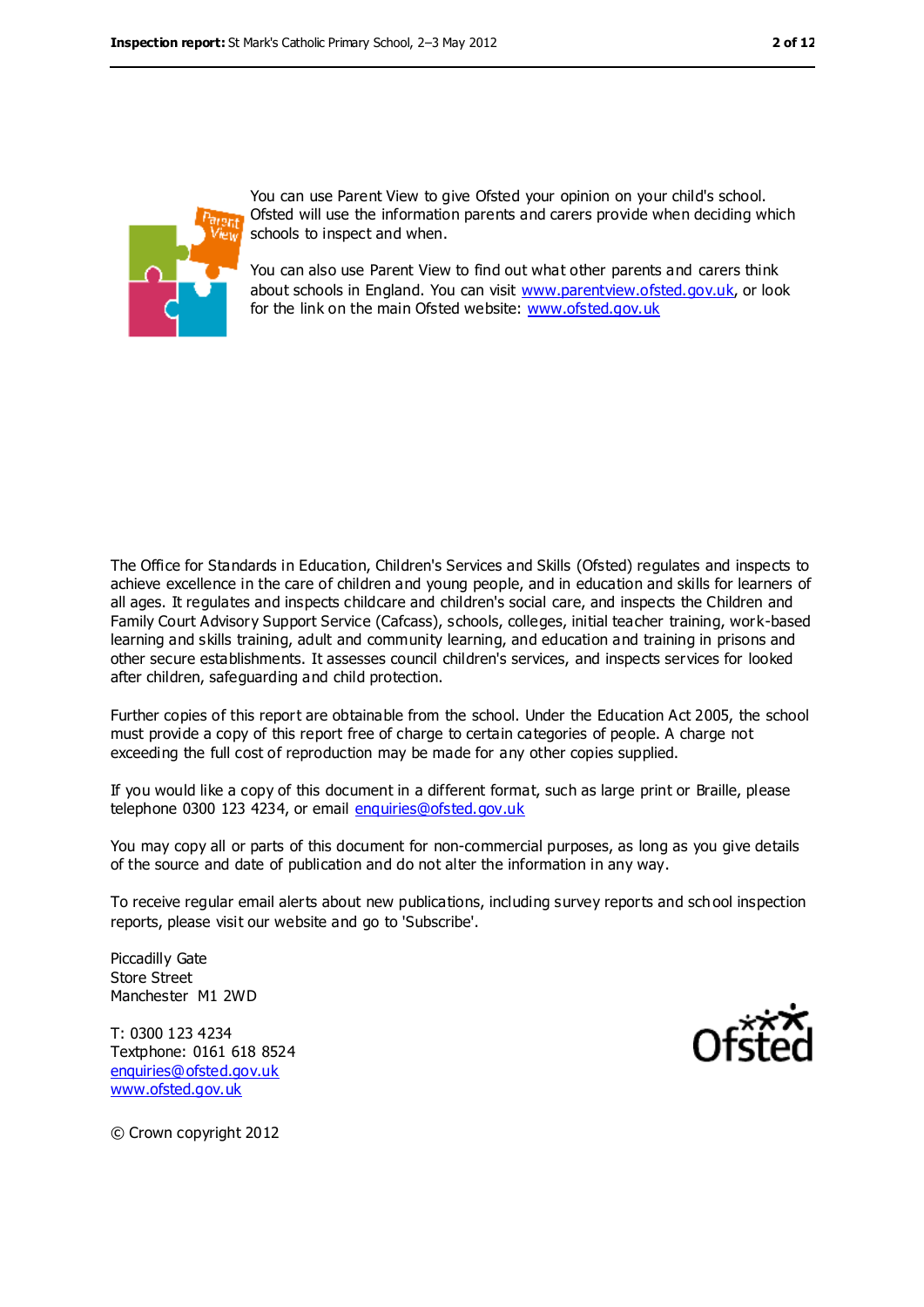

You can use Parent View to give Ofsted your opinion on your child's school. Ofsted will use the information parents and carers provide when deciding which schools to inspect and when.

You can also use Parent View to find out what other parents and carers think about schools in England. You can visit [www.parentview.ofsted.gov.uk,](file:///C:/Users/rcowley/AppData/Local/Temp/notesFCBCEE/www.parentview.ofsted.gov.uk) or look for the link on the main Ofsted website: [www.ofsted.gov.uk](file:///C:/Users/rcowley/AppData/Local/Temp/notesFCBCEE/www.ofsted.gov.uk)

The Office for Standards in Education, Children's Services and Skills (Ofsted) regulates and inspects to achieve excellence in the care of children and young people, and in education and skills for learners of all ages. It regulates and inspects childcare and children's social care, and inspects the Children and Family Court Advisory Support Service (Cafcass), schools, colleges, initial teacher training, work-based learning and skills training, adult and community learning, and education and training in prisons and other secure establishments. It assesses council children's services, and inspects services for looked after children, safeguarding and child protection.

Further copies of this report are obtainable from the school. Under the Education Act 2005, the school must provide a copy of this report free of charge to certain categories of people. A charge not exceeding the full cost of reproduction may be made for any other copies supplied.

If you would like a copy of this document in a different format, such as large print or Braille, please telephone 0300 123 4234, or email [enquiries@ofsted.gov.uk](mailto:enquiries@ofsted.gov.uk)

You may copy all or parts of this document for non-commercial purposes, as long as you give details of the source and date of publication and do not alter the information in any way.

To receive regular email alerts about new publications, including survey reports and sch ool inspection reports, please visit our website and go to 'Subscribe'.

Piccadilly Gate Store Street Manchester M1 2WD

T: 0300 123 4234 Textphone: 0161 618 8524 [enquiries@ofsted.gov.uk](mailto:enquiries@ofsted.gov.uk) [www.ofsted.gov.uk](http://www.ofsted.gov.uk/)



© Crown copyright 2012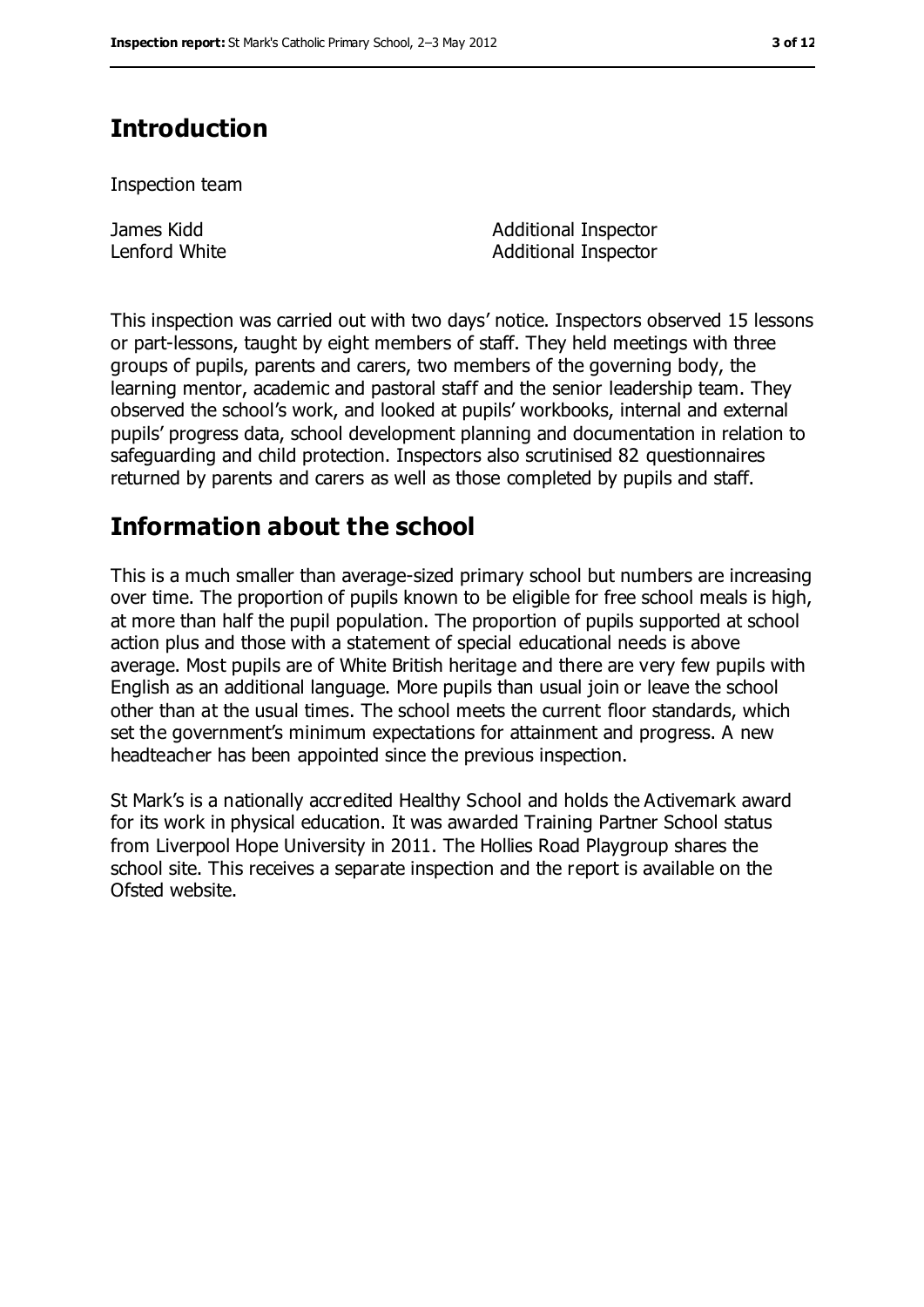## **Introduction**

Inspection team

James Kidd Lenford White Additional Inspector Additional Inspector

This inspection was carried out with two days' notice. Inspectors observed 15 lessons or part-lessons, taught by eight members of staff. They held meetings with three groups of pupils, parents and carers, two members of the governing body, the learning mentor, academic and pastoral staff and the senior leadership team. They observed the school's work, and looked at pupils' workbooks, internal and external pupils' progress data, school development planning and documentation in relation to safeguarding and child protection. Inspectors also scrutinised 82 questionnaires returned by parents and carers as well as those completed by pupils and staff.

## **Information about the school**

This is a much smaller than average-sized primary school but numbers are increasing over time. The proportion of pupils known to be eligible for free school meals is high, at more than half the pupil population. The proportion of pupils supported at school action plus and those with a statement of special educational needs is above average. Most pupils are of White British heritage and there are very few pupils with English as an additional language. More pupils than usual join or leave the school other than at the usual times. The school meets the current floor standards, which set the government's minimum expectations for attainment and progress. A new headteacher has been appointed since the previous inspection.

St Mark's is a nationally accredited Healthy School and holds the Activemark award for its work in physical education. It was awarded Training Partner School status from Liverpool Hope University in 2011. The Hollies Road Playgroup shares the school site. This receives a separate inspection and the report is available on the Ofsted website.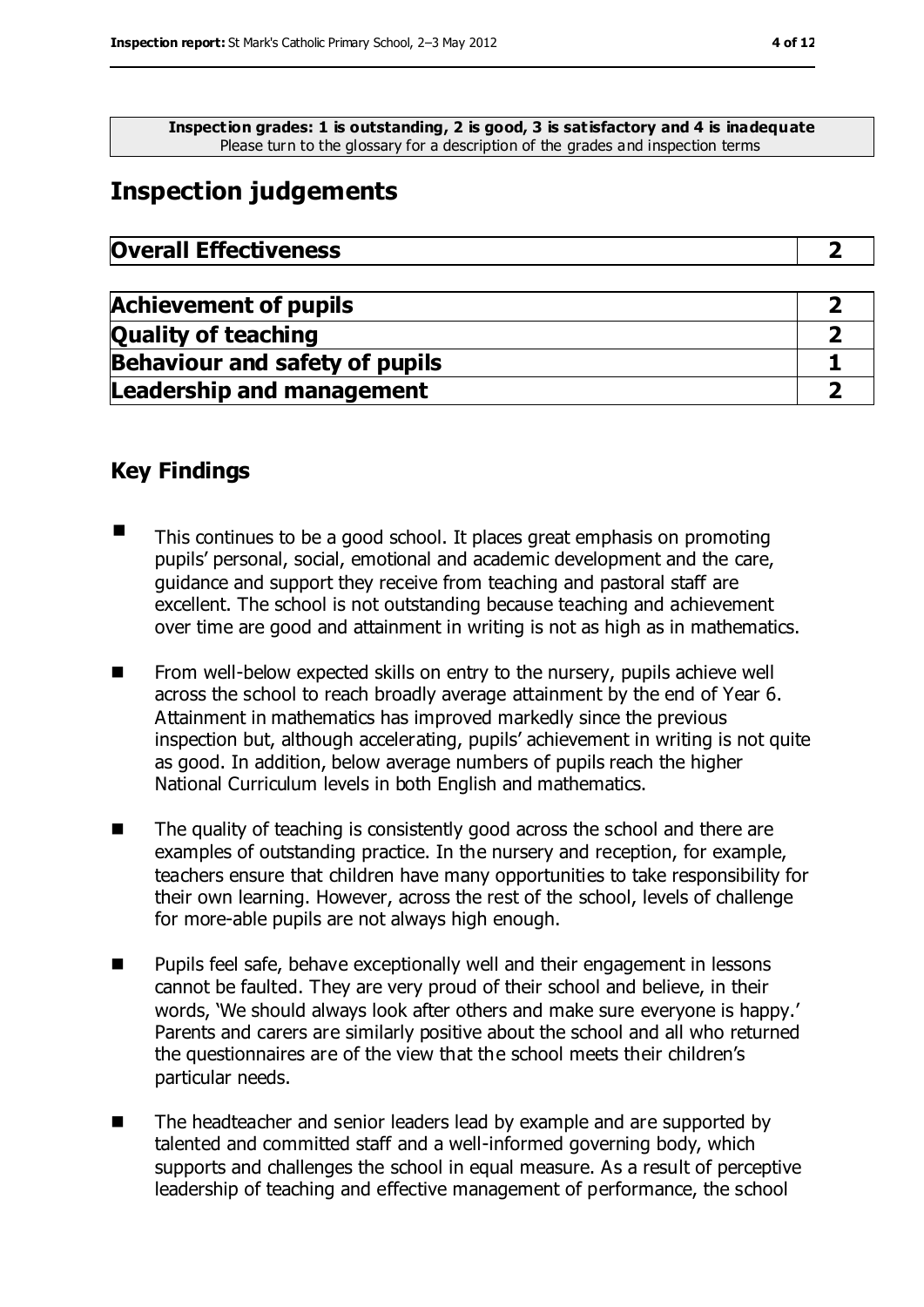**Inspection grades: 1 is outstanding, 2 is good, 3 is satisfactory and 4 is inadequate** Please turn to the glossary for a description of the grades and inspection terms

## **Inspection judgements**

| <b>Overall Effectiveness</b> |  |
|------------------------------|--|
|                              |  |

| <b>Achievement of pupils</b>          |  |
|---------------------------------------|--|
| <b>Quality of teaching</b>            |  |
| <b>Behaviour and safety of pupils</b> |  |
| <b>Leadership and management</b>      |  |

### **Key Findings**

- $\blacksquare$  This continues to be a good school. It places great emphasis on promoting pupils' personal, social, emotional and academic development and the care, guidance and support they receive from teaching and pastoral staff are excellent. The school is not outstanding because teaching and achievement over time are good and attainment in writing is not as high as in mathematics.
- **From well-below expected skills on entry to the nursery, pupils achieve well** across the school to reach broadly average attainment by the end of Year 6. Attainment in mathematics has improved markedly since the previous inspection but, although accelerating, pupils' achievement in writing is not quite as good. In addition, below average numbers of pupils reach the higher National Curriculum levels in both English and mathematics.
- The quality of teaching is consistently good across the school and there are examples of outstanding practice. In the nursery and reception, for example, teachers ensure that children have many opportunities to take responsibility for their own learning. However, across the rest of the school, levels of challenge for more-able pupils are not always high enough.
- Pupils feel safe, behave exceptionally well and their engagement in lessons cannot be faulted. They are very proud of their school and believe, in their words, 'We should always look after others and make sure everyone is happy.' Parents and carers are similarly positive about the school and all who returned the questionnaires are of the view that the school meets their children's particular needs.
- The headteacher and senior leaders lead by example and are supported by talented and committed staff and a well-informed governing body, which supports and challenges the school in equal measure. As a result of perceptive leadership of teaching and effective management of performance, the school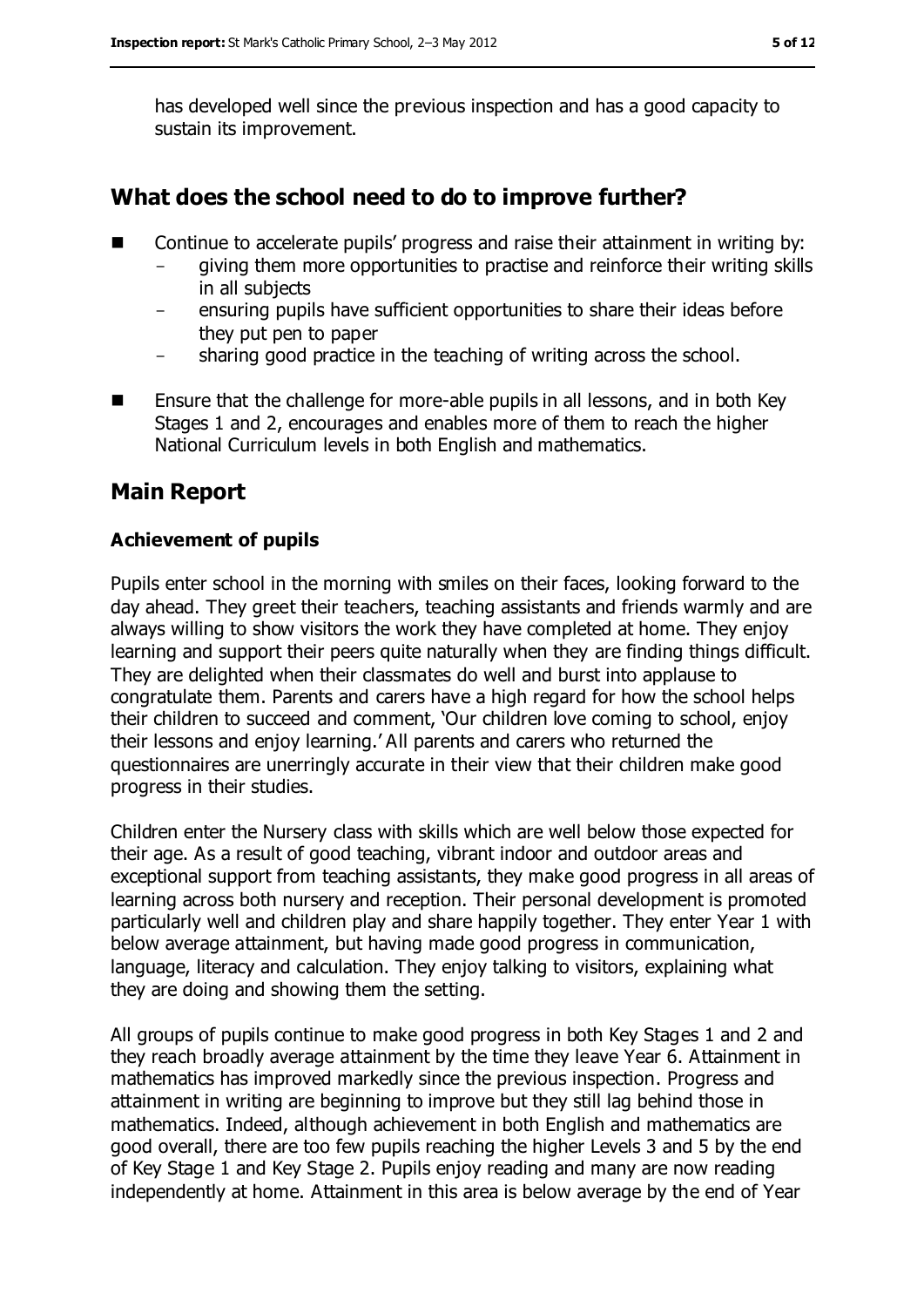has developed well since the previous inspection and has a good capacity to sustain its improvement.

#### **What does the school need to do to improve further?**

- Continue to accelerate pupils' progress and raise their attainment in writing by:
	- giving them more opportunities to practise and reinforce their writing skills in all subjects
	- ensuring pupils have sufficient opportunities to share their ideas before they put pen to paper
	- sharing good practice in the teaching of writing across the school.
- $\blacksquare$  Ensure that the challenge for more-able pupils in all lessons, and in both Key Stages 1 and 2, encourages and enables more of them to reach the higher National Curriculum levels in both English and mathematics.

#### **Main Report**

#### **Achievement of pupils**

Pupils enter school in the morning with smiles on their faces, looking forward to the day ahead. They greet their teachers, teaching assistants and friends warmly and are always willing to show visitors the work they have completed at home. They enjoy learning and support their peers quite naturally when they are finding things difficult. They are delighted when their classmates do well and burst into applause to congratulate them. Parents and carers have a high regard for how the school helps their children to succeed and comment, 'Our children love coming to school, enjoy their lessons and enjoy learning.' All parents and carers who returned the questionnaires are unerringly accurate in their view that their children make good progress in their studies.

Children enter the Nursery class with skills which are well below those expected for their age. As a result of good teaching, vibrant indoor and outdoor areas and exceptional support from teaching assistants, they make good progress in all areas of learning across both nursery and reception. Their personal development is promoted particularly well and children play and share happily together. They enter Year 1 with below average attainment, but having made good progress in communication, language, literacy and calculation. They enjoy talking to visitors, explaining what they are doing and showing them the setting.

All groups of pupils continue to make good progress in both Key Stages 1 and 2 and they reach broadly average attainment by the time they leave Year 6. Attainment in mathematics has improved markedly since the previous inspection. Progress and attainment in writing are beginning to improve but they still lag behind those in mathematics. Indeed, although achievement in both English and mathematics are good overall, there are too few pupils reaching the higher Levels 3 and 5 by the end of Key Stage 1 and Key Stage 2. Pupils enjoy reading and many are now reading independently at home. Attainment in this area is below average by the end of Year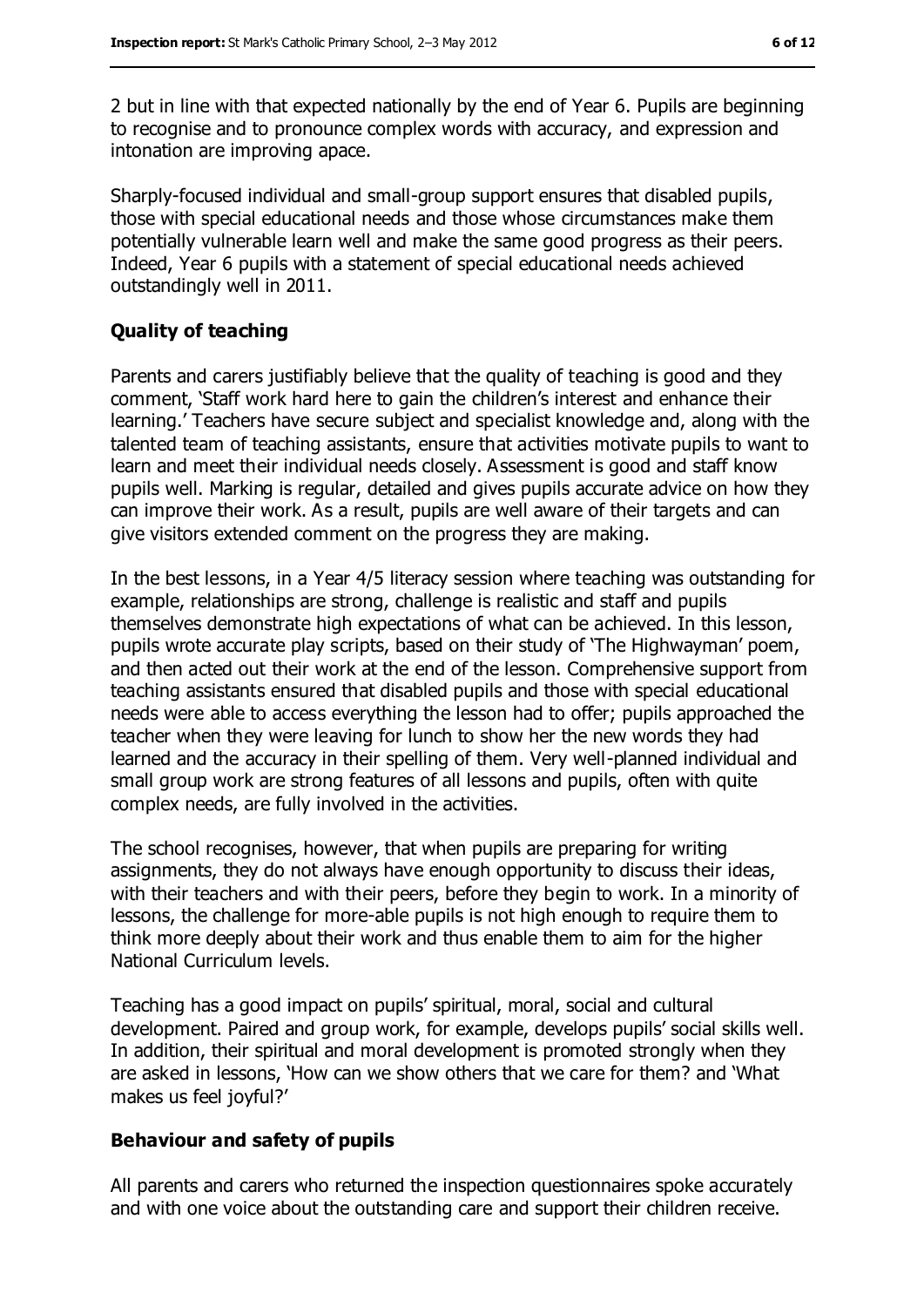2 but in line with that expected nationally by the end of Year 6. Pupils are beginning to recognise and to pronounce complex words with accuracy, and expression and intonation are improving apace.

Sharply-focused individual and small-group support ensures that disabled pupils, those with special educational needs and those whose circumstances make them potentially vulnerable learn well and make the same good progress as their peers. Indeed, Year 6 pupils with a statement of special educational needs achieved outstandingly well in 2011.

#### **Quality of teaching**

Parents and carers justifiably believe that the quality of teaching is good and they comment, 'Staff work hard here to gain the children's interest and enhance their learning.' Teachers have secure subject and specialist knowledge and, along with the talented team of teaching assistants, ensure that activities motivate pupils to want to learn and meet their individual needs closely. Assessment is good and staff know pupils well. Marking is regular, detailed and gives pupils accurate advice on how they can improve their work. As a result, pupils are well aware of their targets and can give visitors extended comment on the progress they are making.

In the best lessons, in a Year 4/5 literacy session where teaching was outstanding for example, relationships are strong, challenge is realistic and staff and pupils themselves demonstrate high expectations of what can be achieved. In this lesson, pupils wrote accurate play scripts, based on their study of 'The Highwayman' poem, and then acted out their work at the end of the lesson. Comprehensive support from teaching assistants ensured that disabled pupils and those with special educational needs were able to access everything the lesson had to offer; pupils approached the teacher when they were leaving for lunch to show her the new words they had learned and the accuracy in their spelling of them. Very well-planned individual and small group work are strong features of all lessons and pupils, often with quite complex needs, are fully involved in the activities.

The school recognises, however, that when pupils are preparing for writing assignments, they do not always have enough opportunity to discuss their ideas, with their teachers and with their peers, before they begin to work. In a minority of lessons, the challenge for more-able pupils is not high enough to require them to think more deeply about their work and thus enable them to aim for the higher National Curriculum levels.

Teaching has a good impact on pupils' spiritual, moral, social and cultural development. Paired and group work, for example, develops pupils' social skills well. In addition, their spiritual and moral development is promoted strongly when they are asked in lessons, 'How can we show others that we care for them? and 'What makes us feel joyful?'

#### **Behaviour and safety of pupils**

All parents and carers who returned the inspection questionnaires spoke accurately and with one voice about the outstanding care and support their children receive.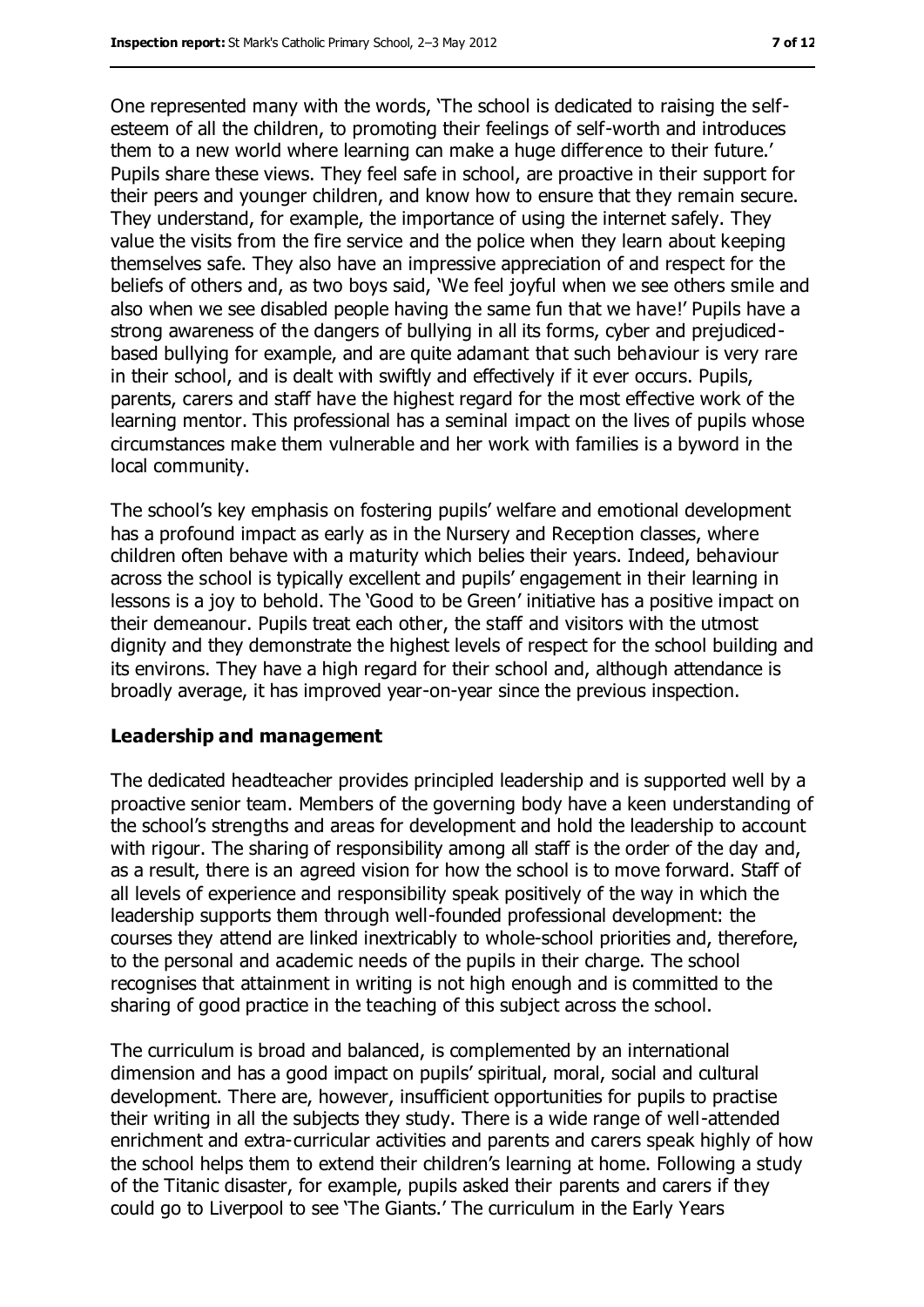One represented many with the words, 'The school is dedicated to raising the selfesteem of all the children, to promoting their feelings of self-worth and introduces them to a new world where learning can make a huge difference to their future.' Pupils share these views. They feel safe in school, are proactive in their support for their peers and younger children, and know how to ensure that they remain secure. They understand, for example, the importance of using the internet safely. They value the visits from the fire service and the police when they learn about keeping themselves safe. They also have an impressive appreciation of and respect for the beliefs of others and, as two boys said, 'We feel joyful when we see others smile and also when we see disabled people having the same fun that we have!' Pupils have a strong awareness of the dangers of bullying in all its forms, cyber and prejudicedbased bullying for example, and are quite adamant that such behaviour is very rare in their school, and is dealt with swiftly and effectively if it ever occurs. Pupils, parents, carers and staff have the highest regard for the most effective work of the learning mentor. This professional has a seminal impact on the lives of pupils whose circumstances make them vulnerable and her work with families is a byword in the local community.

The school's key emphasis on fostering pupils' welfare and emotional development has a profound impact as early as in the Nursery and Reception classes, where children often behave with a maturity which belies their years. Indeed, behaviour across the school is typically excellent and pupils' engagement in their learning in lessons is a joy to behold. The 'Good to be Green' initiative has a positive impact on their demeanour. Pupils treat each other, the staff and visitors with the utmost dignity and they demonstrate the highest levels of respect for the school building and its environs. They have a high regard for their school and, although attendance is broadly average, it has improved year-on-year since the previous inspection.

#### **Leadership and management**

The dedicated headteacher provides principled leadership and is supported well by a proactive senior team. Members of the governing body have a keen understanding of the school's strengths and areas for development and hold the leadership to account with rigour. The sharing of responsibility among all staff is the order of the day and, as a result, there is an agreed vision for how the school is to move forward. Staff of all levels of experience and responsibility speak positively of the way in which the leadership supports them through well-founded professional development: the courses they attend are linked inextricably to whole-school priorities and, therefore, to the personal and academic needs of the pupils in their charge. The school recognises that attainment in writing is not high enough and is committed to the sharing of good practice in the teaching of this subject across the school.

The curriculum is broad and balanced, is complemented by an international dimension and has a good impact on pupils' spiritual, moral, social and cultural development. There are, however, insufficient opportunities for pupils to practise their writing in all the subjects they study. There is a wide range of well-attended enrichment and extra-curricular activities and parents and carers speak highly of how the school helps them to extend their children's learning at home. Following a study of the Titanic disaster, for example, pupils asked their parents and carers if they could go to Liverpool to see 'The Giants.' The curriculum in the Early Years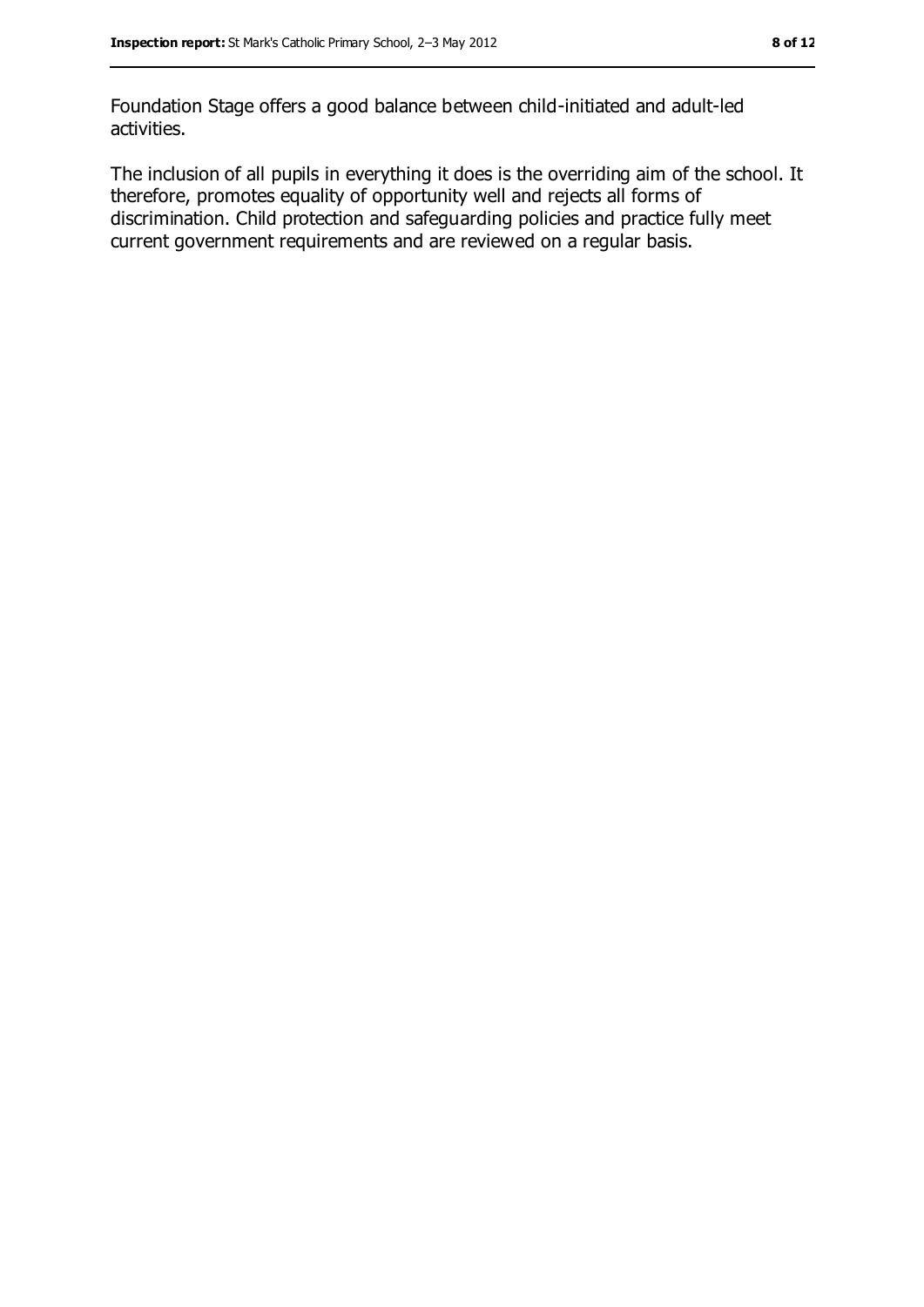Foundation Stage offers a good balance between child-initiated and adult-led activities.

The inclusion of all pupils in everything it does is the overriding aim of the school. It therefore, promotes equality of opportunity well and rejects all forms of discrimination. Child protection and safeguarding policies and practice fully meet current government requirements and are reviewed on a regular basis.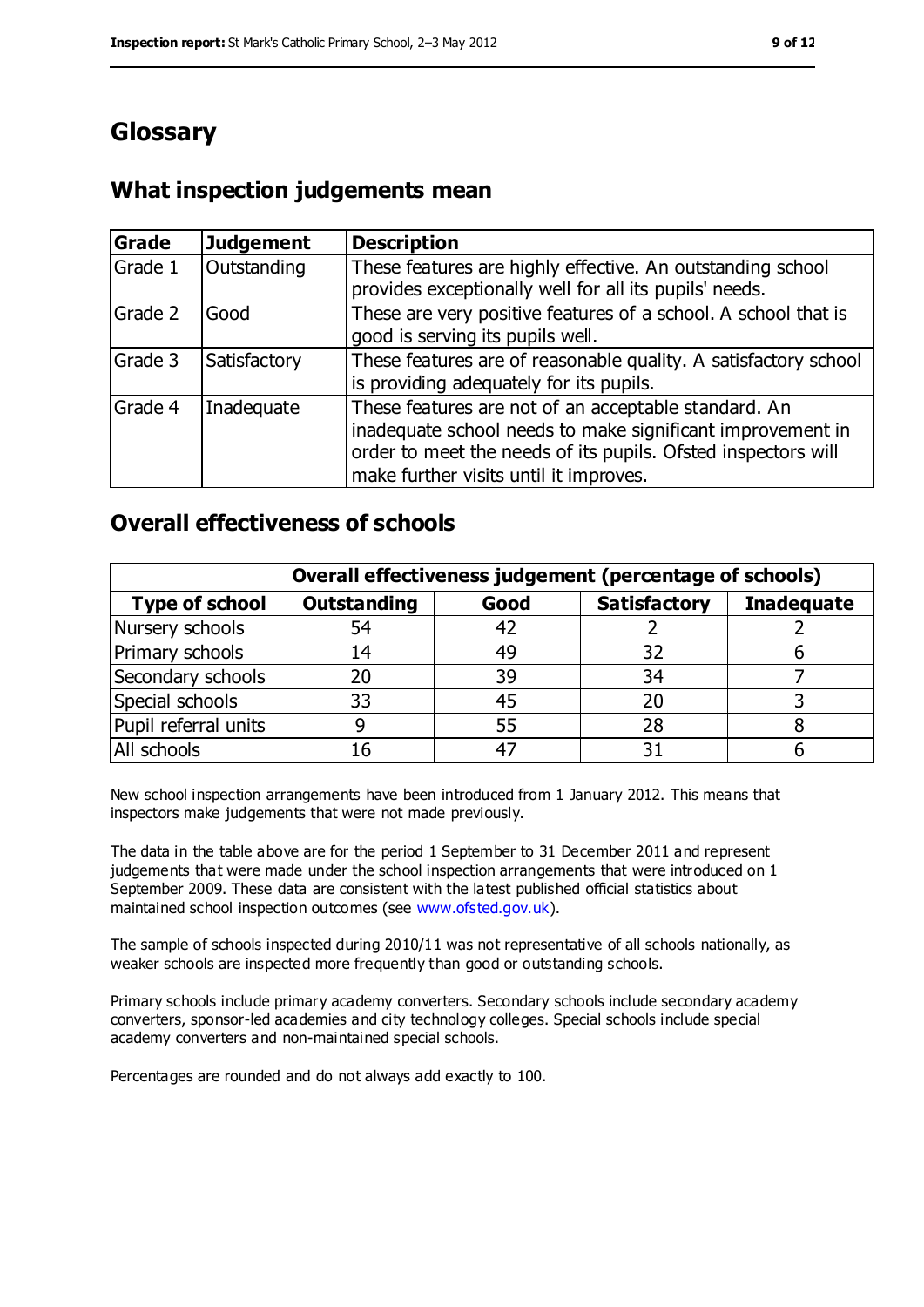## **Glossary**

#### **What inspection judgements mean**

| Grade   | <b>Judgement</b> | <b>Description</b>                                                                                                                                                                                                            |
|---------|------------------|-------------------------------------------------------------------------------------------------------------------------------------------------------------------------------------------------------------------------------|
| Grade 1 | Outstanding      | These features are highly effective. An outstanding school<br>provides exceptionally well for all its pupils' needs.                                                                                                          |
| Grade 2 | Good             | These are very positive features of a school. A school that is<br>good is serving its pupils well.                                                                                                                            |
| Grade 3 | Satisfactory     | These features are of reasonable quality. A satisfactory school<br>is providing adequately for its pupils.                                                                                                                    |
| Grade 4 | Inadequate       | These features are not of an acceptable standard. An<br>inadequate school needs to make significant improvement in<br>order to meet the needs of its pupils. Ofsted inspectors will<br>make further visits until it improves. |

#### **Overall effectiveness of schools**

|                       | Overall effectiveness judgement (percentage of schools) |       |                     |                   |
|-----------------------|---------------------------------------------------------|-------|---------------------|-------------------|
| <b>Type of school</b> | <b>Outstanding</b>                                      | Good  | <b>Satisfactory</b> | <b>Inadequate</b> |
| Nursery schools       | 54                                                      | 42    |                     |                   |
| Primary schools       | 14                                                      | 49    | 32                  |                   |
| Secondary schools     | 20                                                      | 39    | 34                  |                   |
| Special schools       | 33                                                      | 45    | 20                  |                   |
| Pupil referral units  | 9                                                       | 55    | 28                  |                   |
| All schools           | 16                                                      | $4^-$ |                     |                   |

New school inspection arrangements have been introduced from 1 January 2012. This means that inspectors make judgements that were not made previously.

The data in the table above are for the period 1 September to 31 December 2011 and represent judgements that were made under the school inspection arrangements that were introduced on 1 September 2009. These data are consistent with the latest published official statistics about maintained school inspection outcomes (see [www.ofsted.gov.uk\)](file:///C:/Users/rcowley/AppData/Local/Temp/notesFCBCEE/www.ofsted.gov.uk).

The sample of schools inspected during 2010/11 was not representative of all schools nationally, as weaker schools are inspected more frequently than good or outstanding schools.

Primary schools include primary academy converters. Secondary schools include secondary academy converters, sponsor-led academies and city technology colleges. Special schools include special academy converters and non-maintained special schools.

Percentages are rounded and do not always add exactly to 100.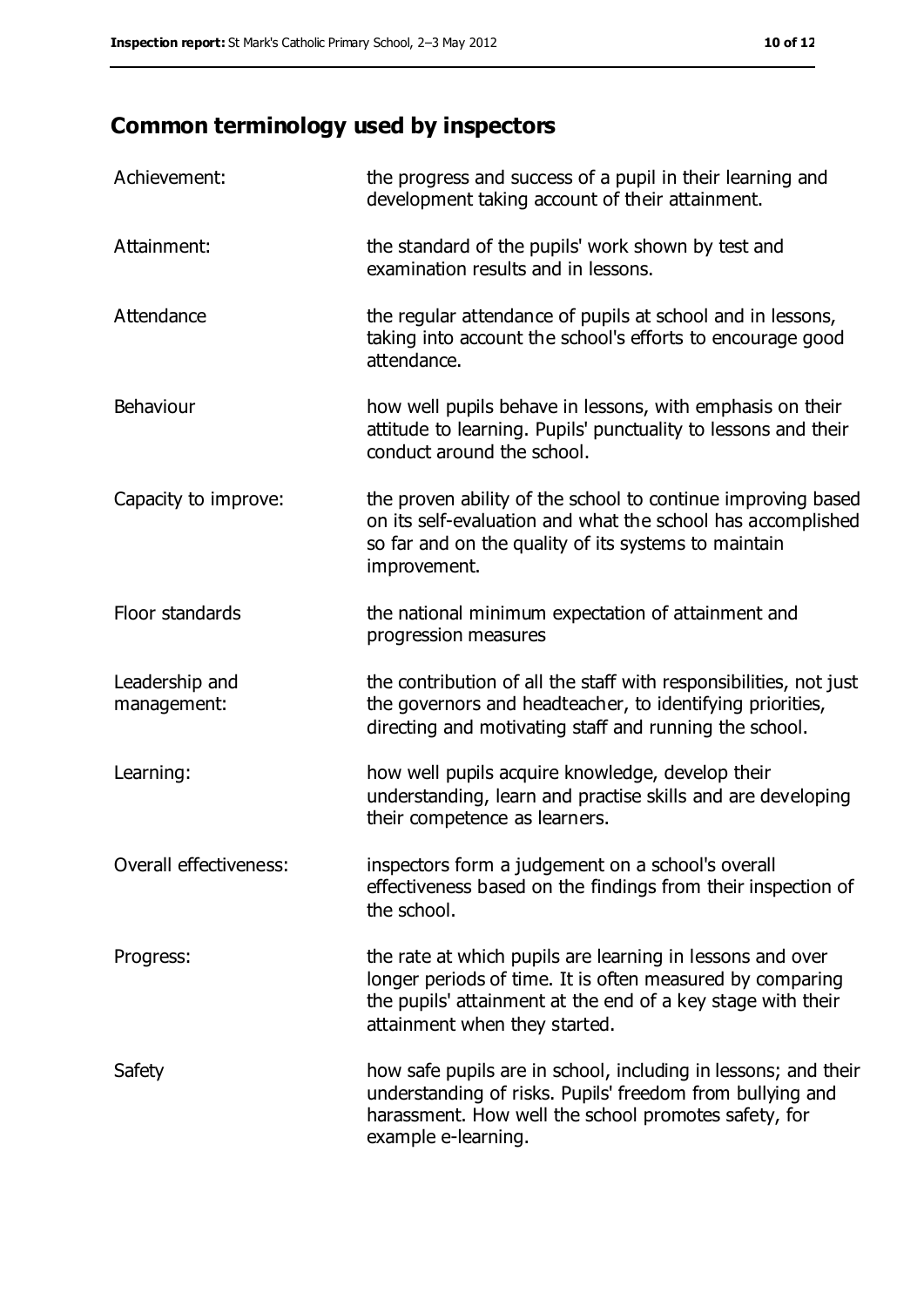## **Common terminology used by inspectors**

| Achievement:                  | the progress and success of a pupil in their learning and<br>development taking account of their attainment.                                                                                                           |
|-------------------------------|------------------------------------------------------------------------------------------------------------------------------------------------------------------------------------------------------------------------|
| Attainment:                   | the standard of the pupils' work shown by test and<br>examination results and in lessons.                                                                                                                              |
| Attendance                    | the regular attendance of pupils at school and in lessons,<br>taking into account the school's efforts to encourage good<br>attendance.                                                                                |
| Behaviour                     | how well pupils behave in lessons, with emphasis on their<br>attitude to learning. Pupils' punctuality to lessons and their<br>conduct around the school.                                                              |
| Capacity to improve:          | the proven ability of the school to continue improving based<br>on its self-evaluation and what the school has accomplished<br>so far and on the quality of its systems to maintain<br>improvement.                    |
| Floor standards               | the national minimum expectation of attainment and<br>progression measures                                                                                                                                             |
| Leadership and<br>management: | the contribution of all the staff with responsibilities, not just<br>the governors and headteacher, to identifying priorities,<br>directing and motivating staff and running the school.                               |
| Learning:                     | how well pupils acquire knowledge, develop their<br>understanding, learn and practise skills and are developing<br>their competence as learners.                                                                       |
| Overall effectiveness:        | inspectors form a judgement on a school's overall<br>effectiveness based on the findings from their inspection of<br>the school.                                                                                       |
| Progress:                     | the rate at which pupils are learning in lessons and over<br>longer periods of time. It is often measured by comparing<br>the pupils' attainment at the end of a key stage with their<br>attainment when they started. |
| Safety                        | how safe pupils are in school, including in lessons; and their<br>understanding of risks. Pupils' freedom from bullying and<br>harassment. How well the school promotes safety, for<br>example e-learning.             |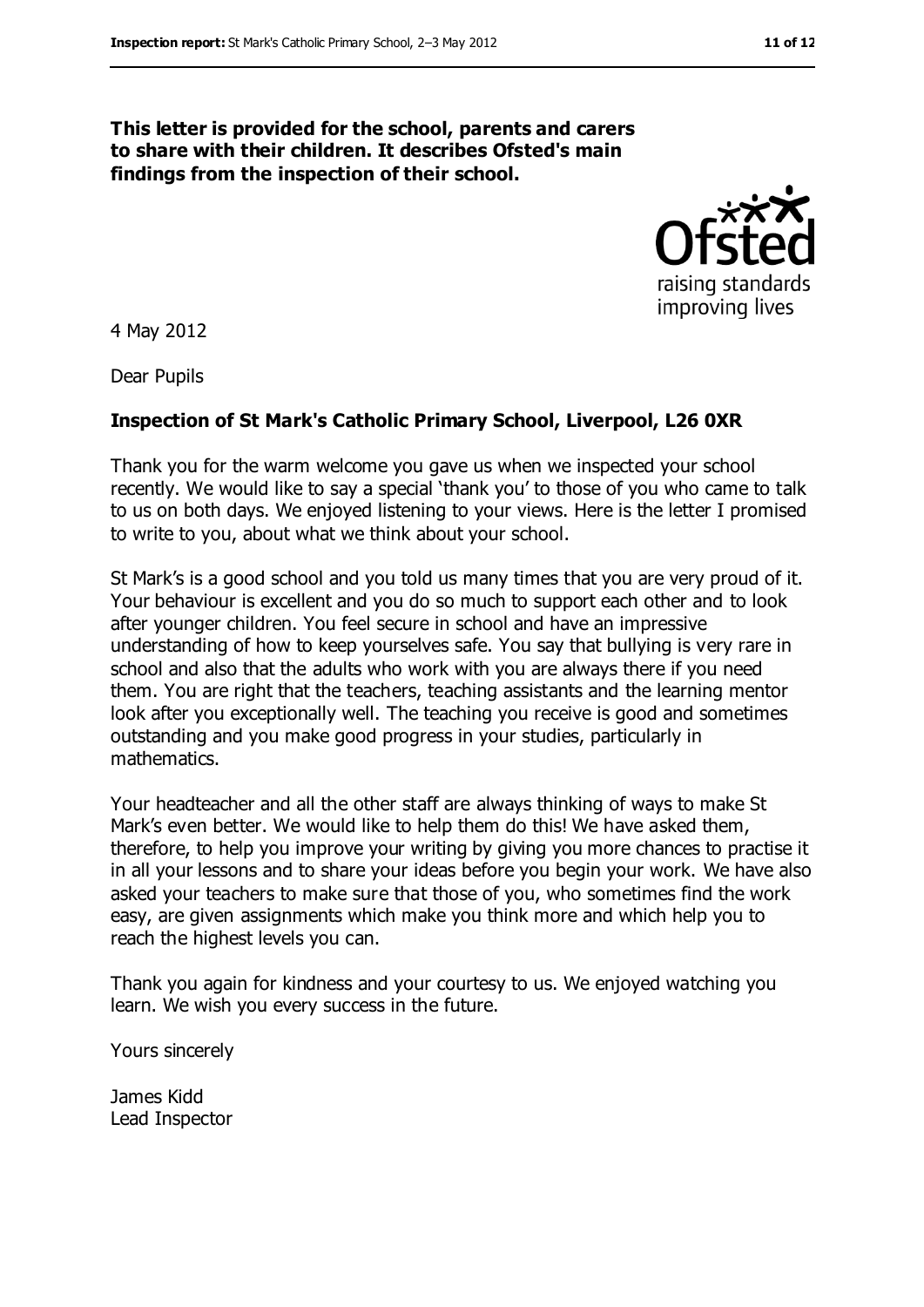#### **This letter is provided for the school, parents and carers to share with their children. It describes Ofsted's main findings from the inspection of their school.**



4 May 2012

Dear Pupils

#### **Inspection of St Mark's Catholic Primary School, Liverpool, L26 0XR**

Thank you for the warm welcome you gave us when we inspected your school recently. We would like to say a special 'thank you' to those of you who came to talk to us on both days. We enjoyed listening to your views. Here is the letter I promised to write to you, about what we think about your school.

St Mark's is a good school and you told us many times that you are very proud of it. Your behaviour is excellent and you do so much to support each other and to look after younger children. You feel secure in school and have an impressive understanding of how to keep yourselves safe. You say that bullying is very rare in school and also that the adults who work with you are always there if you need them. You are right that the teachers, teaching assistants and the learning mentor look after you exceptionally well. The teaching you receive is good and sometimes outstanding and you make good progress in your studies, particularly in mathematics.

Your headteacher and all the other staff are always thinking of ways to make St Mark's even better. We would like to help them do this! We have asked them, therefore, to help you improve your writing by giving you more chances to practise it in all your lessons and to share your ideas before you begin your work. We have also asked your teachers to make sure that those of you, who sometimes find the work easy, are given assignments which make you think more and which help you to reach the highest levels you can.

Thank you again for kindness and your courtesy to us. We enjoyed watching you learn. We wish you every success in the future.

Yours sincerely

James Kidd Lead Inspector